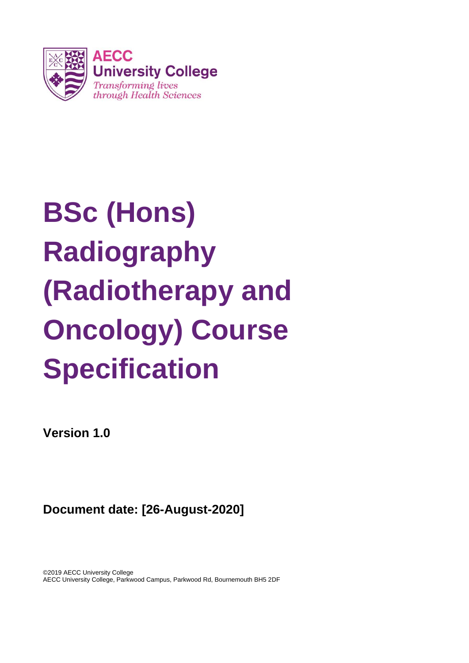

# **BSc (Hons) Radiography (Radiotherapy and Oncology) Course Specification**

**Version 1.0**

**Document date: [26-August-2020]**

©2019 AECC University College AECC University College, Parkwood Campus, Parkwood Rd, Bournemouth BH5 2DF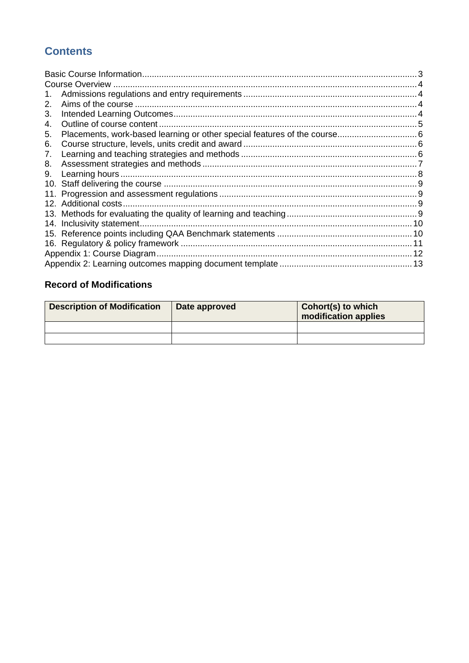# **Contents**

| 2.  |                                                                           |
|-----|---------------------------------------------------------------------------|
| 3.  |                                                                           |
| 4.  |                                                                           |
| 5.  | Placements, work-based learning or other special features of the course 6 |
| 6.  |                                                                           |
| 7.  |                                                                           |
| 8.  |                                                                           |
| 9.  |                                                                           |
|     |                                                                           |
|     |                                                                           |
|     |                                                                           |
|     |                                                                           |
| 14. |                                                                           |
|     |                                                                           |
|     |                                                                           |
|     |                                                                           |
|     |                                                                           |
|     |                                                                           |

# **Record of Modifications**

| <b>Description of Modification</b> | Date approved | <b>Cohort(s) to which</b><br>modification applies |
|------------------------------------|---------------|---------------------------------------------------|
|                                    |               |                                                   |
|                                    |               |                                                   |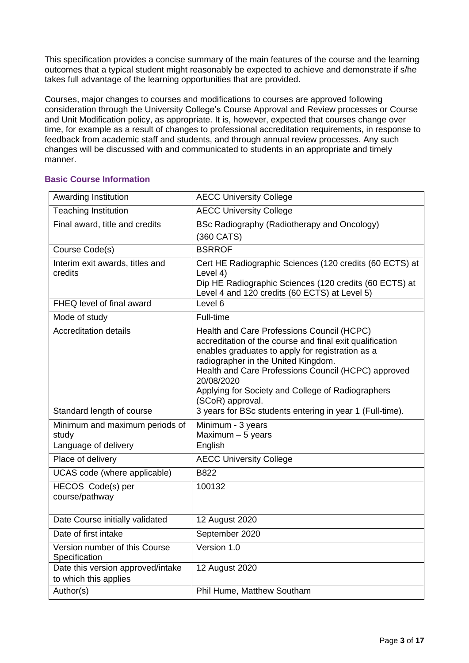This specification provides a concise summary of the main features of the course and the learning outcomes that a typical student might reasonably be expected to achieve and demonstrate if s/he takes full advantage of the learning opportunities that are provided.

Courses, major changes to courses and modifications to courses are approved following consideration through the University College's Course Approval and Review processes or Course and Unit Modification policy, as appropriate. It is, however, expected that courses change over time, for example as a result of changes to professional accreditation requirements, in response to feedback from academic staff and students, and through annual review processes. Any such changes will be discussed with and communicated to students in an appropriate and timely manner.

#### Awarding Institution AECC University College Teaching Institution **AECC University College** Final award, title and credits **BSc Radiography (Radiotherapy and Oncology)** (360 CATS) Course Code(s) BSRROF Interim exit awards, titles and credits Cert HE Radiographic Sciences (120 credits (60 ECTS) at Level 4) Dip HE Radiographic Sciences (120 credits (60 ECTS) at Level 4 and 120 credits (60 ECTS) at Level 5) FHEQ level of final award Level 6 Mode of study Full-time Accreditation details **Health and Care Professions Council (HCPC)** accreditation of the course and final exit qualification enables graduates to apply for registration as a radiographer in the United Kingdom. Health and Care Professions Council (HCPC) approved 20/08/2020 Applying for Society and College of Radiographers (SCoR) approval. Standard length of course 3 years for BSc students entering in year 1 (Full-time). Minimum and maximum periods of study Minimum - 3 years Maximum – 5 years Language of delivery **English** Place of delivery **AECC** University College UCAS code (where applicable) | B822 HECOS Code(s) per course/pathway 100132 Date Course initially validated | 12 August 2020 Date of first intake September 2020 Version number of this Course **Specification** Version 1.0 Date this version approved/intake to which this applies 12 August 2020 Author(s) Phil Hume, Matthew Southam

#### <span id="page-2-0"></span>**Basic Course Information**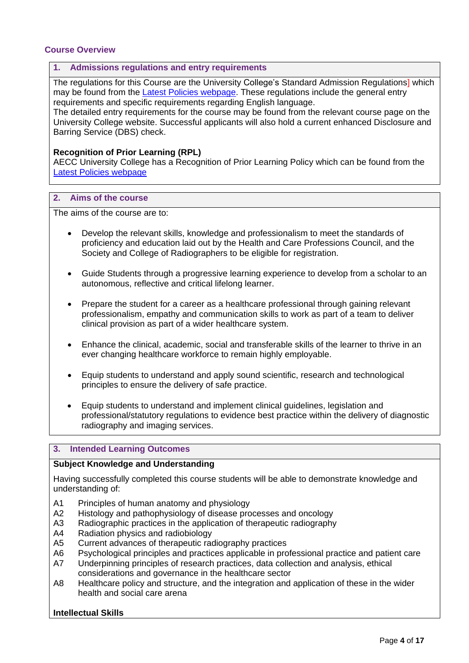#### <span id="page-3-0"></span>**Course Overview**

#### <span id="page-3-1"></span>**1. Admissions regulations and entry requirements**

The regulations for this Course are the University College's Standard Admission Regulations] which may be found from the **Latest Policies webpage**. These regulations include the general entry requirements and specific requirements regarding English language.

The detailed entry requirements for the course may be found from the relevant course page on the University College website. Successful applicants will also hold a current enhanced Disclosure and Barring Service (DBS) check.

#### **Recognition of Prior Learning (RPL)**

AECC University College has a [Recognition of Prior Learning Policy](http://www.southampton.ac.uk/quality/assessment/prior_learning.page?) which can be found from the [Latest Policies webpage](https://www.aecc.ac.uk/about/how-we-work/latest-policies/)

#### <span id="page-3-2"></span>**2. Aims of the course**

The aims of the course are to:

- Develop the relevant skills, knowledge and professionalism to meet the standards of proficiency and education laid out by the Health and Care Professions Council, and the Society and College of Radiographers to be eligible for registration.
- Guide Students through a progressive learning experience to develop from a scholar to an autonomous, reflective and critical lifelong learner.
- Prepare the student for a career as a healthcare professional through gaining relevant professionalism, empathy and communication skills to work as part of a team to deliver clinical provision as part of a wider healthcare system.
- Enhance the clinical, academic, social and transferable skills of the learner to thrive in an ever changing healthcare workforce to remain highly employable.
- Equip students to understand and apply sound scientific, research and technological principles to ensure the delivery of safe practice.
- Equip students to understand and implement clinical guidelines, legislation and professional/statutory regulations to evidence best practice within the delivery of diagnostic radiography and imaging services.

#### <span id="page-3-3"></span>**3. Intended Learning Outcomes**

#### **Subject Knowledge and Understanding**

Having successfully completed this course students will be able to demonstrate knowledge and understanding of:

- A1 Principles of human anatomy and physiology
- A2 Histology and pathophysiology of disease processes and oncology
- A3 Radiographic practices in the application of therapeutic radiography
- A4 Radiation physics and radiobiology
- A5 Current advances of therapeutic radiography practices
- A6 Psychological principles and practices applicable in professional practice and patient care
- A7 Underpinning principles of research practices, data collection and analysis, ethical considerations and governance in the healthcare sector
- A8 Healthcare policy and structure, and the integration and application of these in the wider health and social care arena

#### **Intellectual Skills**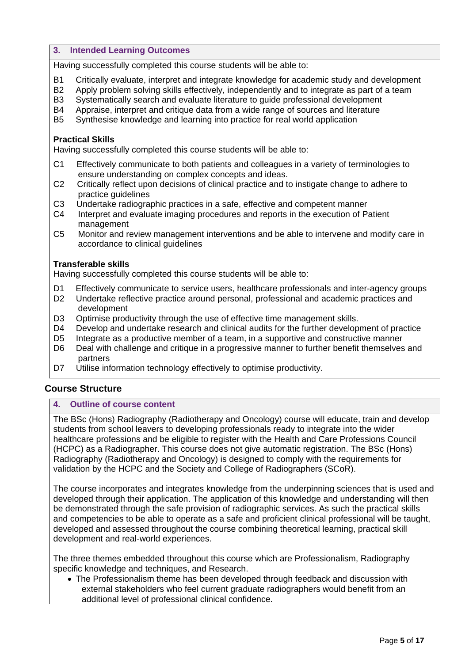#### **3. Intended Learning Outcomes**

Having successfully completed this course students will be able to:

- B1 Critically evaluate, interpret and integrate knowledge for academic study and development
- B2 Apply problem solving skills effectively, independently and to integrate as part of a team
- B3 Systematically search and evaluate literature to guide professional development
- B4 Appraise, interpret and critique data from a wide range of sources and literature
- B5 Synthesise knowledge and learning into practice for real world application

#### **Practical Skills**

Having successfully completed this course students will be able to:

- C1 Effectively communicate to both patients and colleagues in a variety of terminologies to ensure understanding on complex concepts and ideas.
- C2 Critically reflect upon decisions of clinical practice and to instigate change to adhere to practice guidelines
- C3 Undertake radiographic practices in a safe, effective and competent manner
- C4 Interpret and evaluate imaging procedures and reports in the execution of Patient management
- C5 Monitor and review management interventions and be able to intervene and modify care in accordance to clinical guidelines

#### **Transferable skills**

Having successfully completed this course students will be able to:

- D1 Effectively communicate to service users, healthcare professionals and inter-agency groups
- D2 Undertake reflective practice around personal, professional and academic practices and development
- D3 Optimise productivity through the use of effective time management skills.
- D4 Develop and undertake research and clinical audits for the further development of practice
- D5 Integrate as a productive member of a team, in a supportive and constructive manner
- D6 Deal with challenge and critique in a progressive manner to further benefit themselves and partners
- D7 Utilise information technology effectively to optimise productivity.

#### **Course Structure**

#### <span id="page-4-0"></span>**4. Outline of course content**

The BSc (Hons) Radiography (Radiotherapy and Oncology) course will educate, train and develop students from school leavers to developing professionals ready to integrate into the wider healthcare professions and be eligible to register with the Health and Care Professions Council (HCPC) as a Radiographer. This course does not give automatic registration. The BSc (Hons) Radiography (Radiotherapy and Oncology) is designed to comply with the requirements for validation by the HCPC and the Society and College of Radiographers (SCoR).

The course incorporates and integrates knowledge from the underpinning sciences that is used and developed through their application. The application of this knowledge and understanding will then be demonstrated through the safe provision of radiographic services. As such the practical skills and competencies to be able to operate as a safe and proficient clinical professional will be taught, developed and assessed throughout the course combining theoretical learning, practical skill development and real-world experiences.

The three themes embedded throughout this course which are Professionalism, Radiography specific knowledge and techniques, and Research.

 The Professionalism theme has been developed through feedback and discussion with external stakeholders who feel current graduate radiographers would benefit from an additional level of professional clinical confidence.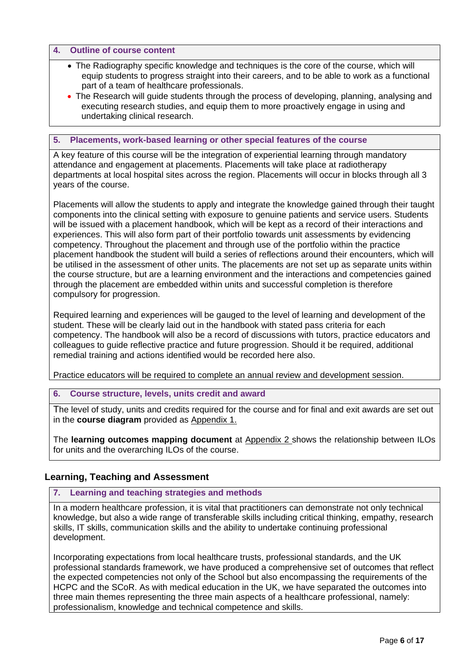#### **4. Outline of course content**

- The Radiography specific knowledge and techniques is the core of the course, which will equip students to progress straight into their careers, and to be able to work as a functional part of a team of healthcare professionals.
- The Research will guide students through the process of developing, planning, analysing and executing research studies, and equip them to more proactively engage in using and undertaking clinical research.

#### <span id="page-5-0"></span>**5. Placements, work-based learning or other special features of the course**

A key feature of this course will be the integration of experiential learning through mandatory attendance and engagement at placements. Placements will take place at radiotherapy departments at local hospital sites across the region. Placements will occur in blocks through all 3 years of the course.

Placements will allow the students to apply and integrate the knowledge gained through their taught components into the clinical setting with exposure to genuine patients and service users. Students will be issued with a placement handbook, which will be kept as a record of their interactions and experiences. This will also form part of their portfolio towards unit assessments by evidencing competency. Throughout the placement and through use of the portfolio within the practice placement handbook the student will build a series of reflections around their encounters, which will be utilised in the assessment of other units. The placements are not set up as separate units within the course structure, but are a learning environment and the interactions and competencies gained through the placement are embedded within units and successful completion is therefore compulsory for progression.

Required learning and experiences will be gauged to the level of learning and development of the student. These will be clearly laid out in the handbook with stated pass criteria for each competency. The handbook will also be a record of discussions with tutors, practice educators and colleagues to guide reflective practice and future progression. Should it be required, additional remedial training and actions identified would be recorded here also.

Practice educators will be required to complete an annual review and development session.

#### <span id="page-5-1"></span>**6. Course structure, levels, units credit and award**

The level of study, units and credits required for the course and for final and exit awards are set out in the **course diagram** provided as Appendix 1.

The **learning outcomes mapping document** at Appendix 2 shows the relationship between ILOs for units and the overarching ILOs of the course.

## **Learning, Teaching and Assessment**

#### <span id="page-5-2"></span>**7. Learning and teaching strategies and methods**

In a modern healthcare profession, it is vital that practitioners can demonstrate not only technical knowledge, but also a wide range of transferable skills including critical thinking, empathy, research skills, IT skills, communication skills and the ability to undertake continuing professional development.

Incorporating expectations from local healthcare trusts, professional standards, and the UK professional standards framework, we have produced a comprehensive set of outcomes that reflect the expected competencies not only of the School but also encompassing the requirements of the HCPC and the SCoR. As with medical education in the UK, we have separated the outcomes into three main themes representing the three main aspects of a healthcare professional, namely: professionalism, knowledge and technical competence and skills.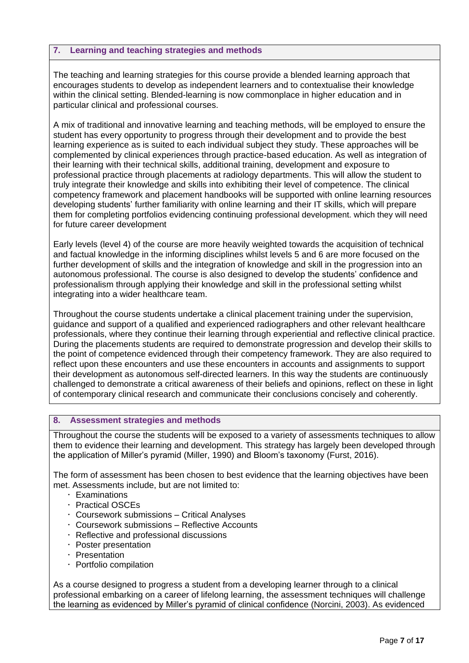#### **7. Learning and teaching strategies and methods**

The teaching and learning strategies for this course provide a blended learning approach that encourages students to develop as independent learners and to contextualise their knowledge within the clinical setting. Blended-learning is now commonplace in higher education and in particular clinical and professional courses.

A mix of traditional and innovative learning and teaching methods, will be employed to ensure the student has every opportunity to progress through their development and to provide the best learning experience as is suited to each individual subject they study. These approaches will be complemented by clinical experiences through practice-based education. As well as integration of their learning with their technical skills, additional training, development and exposure to professional practice through placements at radiology departments. This will allow the student to truly integrate their knowledge and skills into exhibiting their level of competence. The clinical competency framework and placement handbooks will be supported with online learning resources developing students' further familiarity with online learning and their IT skills, which will prepare them for completing portfolios evidencing continuing professional development. which they will need for future career development

Early levels (level 4) of the course are more heavily weighted towards the acquisition of technical and factual knowledge in the informing disciplines whilst levels 5 and 6 are more focused on the further development of skills and the integration of knowledge and skill in the progression into an autonomous professional. The course is also designed to develop the students' confidence and professionalism through applying their knowledge and skill in the professional setting whilst integrating into a wider healthcare team.

Throughout the course students undertake a clinical placement training under the supervision, guidance and support of a qualified and experienced radiographers and other relevant healthcare professionals, where they continue their learning through experiential and reflective clinical practice. During the placements students are required to demonstrate progression and develop their skills to the point of competence evidenced through their competency framework. They are also required to reflect upon these encounters and use these encounters in accounts and assignments to support their development as autonomous self-directed learners. In this way the students are continuously challenged to demonstrate a critical awareness of their beliefs and opinions, reflect on these in light of contemporary clinical research and communicate their conclusions concisely and coherently.

#### <span id="page-6-0"></span>**8. Assessment strategies and methods**

Throughout the course the students will be exposed to a variety of assessments techniques to allow them to evidence their learning and development. This strategy has largely been developed through the application of Miller's pyramid (Miller, 1990) and Bloom's taxonomy (Furst, 2016).

The form of assessment has been chosen to best evidence that the learning objectives have been met. Assessments include, but are not limited to:

- Examinations
- Practical OSCEs
- Coursework submissions Critical Analyses
- Coursework submissions Reflective Accounts
- Reflective and professional discussions
- Poster presentation
- $·$  Presentation
- Portfolio compilation

As a course designed to progress a student from a developing learner through to a clinical professional embarking on a career of lifelong learning, the assessment techniques will challenge the learning as evidenced by Miller's pyramid of clinical confidence (Norcini, 2003). As evidenced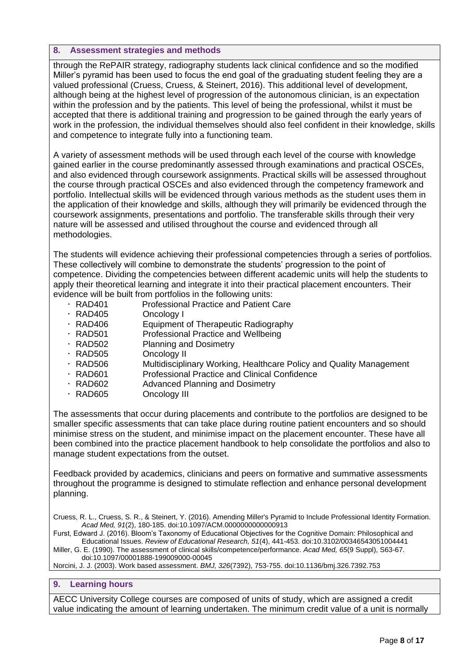#### **8. Assessment strategies and methods**

through the RePAIR strategy, radiography students lack clinical confidence and so the modified Miller's pyramid has been used to focus the end goal of the graduating student feeling they are a valued professional (Cruess, Cruess, & Steinert, 2016). This additional level of development, although being at the highest level of progression of the autonomous clinician, is an expectation within the profession and by the patients. This level of being the professional, whilst it must be accepted that there is additional training and progression to be gained through the early years of work in the profession, the individual themselves should also feel confident in their knowledge, skills and competence to integrate fully into a functioning team.

A variety of assessment methods will be used through each level of the course with knowledge gained earlier in the course predominantly assessed through examinations and practical OSCEs, and also evidenced through coursework assignments. Practical skills will be assessed throughout the course through practical OSCEs and also evidenced through the competency framework and portfolio. Intellectual skills will be evidenced through various methods as the student uses them in the application of their knowledge and skills, although they will primarily be evidenced through the coursework assignments, presentations and portfolio. The transferable skills through their very nature will be assessed and utilised throughout the course and evidenced through all methodologies.

The students will evidence achieving their professional competencies through a series of portfolios. These collectively will combine to demonstrate the students' progression to the point of competence. Dividing the competencies between different academic units will help the students to apply their theoretical learning and integrate it into their practical placement encounters. Their evidence will be built from portfolios in the following units:

- RAD401 Professional Practice and Patient Care
- RAD405 Oncology I
- RAD406 Equipment of Therapeutic Radiography
- RAD501 Professional Practice and Wellbeing
- RAD502 Planning and Dosimetry
- RAD505 Oncology II
- RAD506 Multidisciplinary Working, Healthcare Policy and Quality Management
- RAD601 Professional Practice and Clinical Confidence
- RAD602 Advanced Planning and Dosimetry
- RAD605 Oncology III

The assessments that occur during placements and contribute to the portfolios are designed to be smaller specific assessments that can take place during routine patient encounters and so should minimise stress on the student, and minimise impact on the placement encounter. These have all been combined into the practice placement handbook to help consolidate the portfolios and also to manage student expectations from the outset.

Feedback provided by academics, clinicians and peers on formative and summative assessments throughout the programme is designed to stimulate reflection and enhance personal development planning.

Cruess, R. L., Cruess, S. R., & Steinert, Y. (2016). Amending Miller's Pyramid to Include Professional Identity Formation. *Acad Med, 91*(2), 180-185. doi:10.1097/ACM.0000000000000913

Furst, Edward J. (2016). Bloom's Taxonomy of Educational Objectives for the Cognitive Domain: Philosophical and Educational Issues. *Review of Educational Research, 51*(4), 441-453. doi:10.3102/00346543051004441

Miller, G. E. (1990). The assessment of clinical skills/competence/performance. *Acad Med, 65*(9 Suppl), S63-67. doi:10.1097/00001888-199009000-00045

Norcini, J. J. (2003). Work based assessment. *BMJ, 326*(7392), 753-755. doi:10.1136/bmj.326.7392.753

#### <span id="page-7-0"></span>**9. Learning hours**

AECC University College courses are composed of units of study, which are assigned a credit value indicating the amount of learning undertaken. The minimum credit value of a unit is normally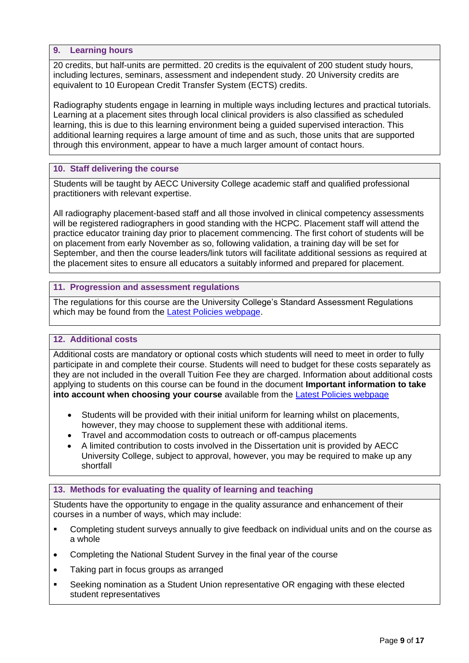#### **9. Learning hours**

20 credits, but half-units are permitted. 20 credits is the equivalent of 200 student study hours, including lectures, seminars, assessment and independent study. 20 University credits are equivalent to 10 European Credit Transfer System (ECTS) credits.

Radiography students engage in learning in multiple ways including lectures and practical tutorials. Learning at a placement sites through local clinical providers is also classified as scheduled learning, this is due to this learning environment being a guided supervised interaction. This additional learning requires a large amount of time and as such, those units that are supported through this environment, appear to have a much larger amount of contact hours.

#### <span id="page-8-0"></span>**10. Staff delivering the course**

Students will be taught by AECC University College academic staff and qualified professional practitioners with relevant expertise.

All radiography placement-based staff and all those involved in clinical competency assessments will be registered radiographers in good standing with the HCPC. Placement staff will attend the practice educator training day prior to placement commencing. The first cohort of students will be on placement from early November as so, following validation, a training day will be set for September, and then the course leaders/link tutors will facilitate additional sessions as required at the placement sites to ensure all educators a suitably informed and prepared for placement.

#### <span id="page-8-1"></span>**11. Progression and assessment regulations**

The regulations for this course are the University College's Standard Assessment Regulations which may be found from the [Latest Policies webpage.](https://www.aecc.ac.uk/about/how-we-work/latest-policies/)

#### <span id="page-8-2"></span>**12. Additional costs**

Additional costs are mandatory or optional costs which students will need to meet in order to fully participate in and complete their course. Students will need to budget for these costs separately as they are not included in the overall Tuition Fee they are charged. Information about additional costs applying to students on this course can be found in the document **Important information to take into account when choosing your course** available from the [Latest Policies webpage](https://www.aecc.ac.uk/about/how-we-work/latest-policies/)

- Students will be provided with their initial uniform for learning whilst on placements, however, they may choose to supplement these with additional items.
- Travel and accommodation costs to outreach or off-campus placements
- A limited contribution to costs involved in the Dissertation unit is provided by AECC University College, subject to approval, however, you may be required to make up any shortfall

#### <span id="page-8-3"></span>**13. Methods for evaluating the quality of learning and teaching**

Students have the opportunity to engage in the quality assurance and enhancement of their courses in a number of ways, which may include:

- **•** Completing student surveys annually to give feedback on individual units and on the course as a whole
- Completing the National Student Survey in the final year of the course
- Taking part in focus groups as arranged
- Seeking nomination as a Student Union representative OR engaging with these elected student representatives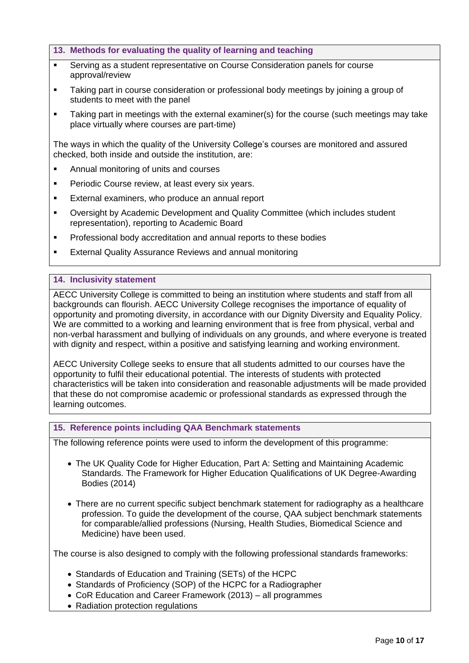#### **13. Methods for evaluating the quality of learning and teaching**

- Serving as a student representative on Course Consideration panels for course approval/review
- Taking part in course consideration or professional body meetings by joining a group of students to meet with the panel
- Taking part in meetings with the external examiner(s) for the course (such meetings may take place virtually where courses are part-time)

The ways in which the quality of the University College's courses are monitored and assured checked, both inside and outside the institution, are:

- Annual monitoring of units and courses
- Periodic Course review, at least every six years.
- **External examiners, who produce an annual report**
- Oversight by Academic Development and Quality Committee (which includes student representation), reporting to Academic Board
- Professional body accreditation and annual reports to these bodies
- **External Quality Assurance Reviews and annual monitoring**

#### <span id="page-9-0"></span>**14. Inclusivity statement**

AECC University College is committed to being an institution where students and staff from all backgrounds can flourish. AECC University College recognises the importance of equality of opportunity and promoting diversity, in accordance with our Dignity Diversity and Equality Policy. We are committed to a working and learning environment that is free from physical, verbal and non-verbal harassment and bullying of individuals on any grounds, and where everyone is treated with dignity and respect, within a positive and satisfying learning and working environment.

AECC University College seeks to ensure that all students admitted to our courses have the opportunity to fulfil their educational potential. The interests of students with protected characteristics will be taken into consideration and reasonable adjustments will be made provided that these do not compromise academic or professional standards as expressed through the learning outcomes.

#### <span id="page-9-1"></span>**15. Reference points including QAA Benchmark statements**

The following reference points were used to inform the development of this programme:

- The UK Quality Code for Higher Education, Part A: Setting and Maintaining Academic Standards. The Framework for Higher Education Qualifications of UK Degree-Awarding Bodies (2014)
- There are no current specific subject benchmark statement for radiography as a healthcare profession. To guide the development of the course, QAA subject benchmark statements for comparable/allied professions (Nursing, Health Studies, Biomedical Science and Medicine) have been used.

The course is also designed to comply with the following professional standards frameworks:

- Standards of Education and Training (SETs) of the HCPC
- Standards of Proficiency (SOP) of the HCPC for a Radiographer
- CoR Education and Career Framework (2013) all programmes
- Radiation protection regulations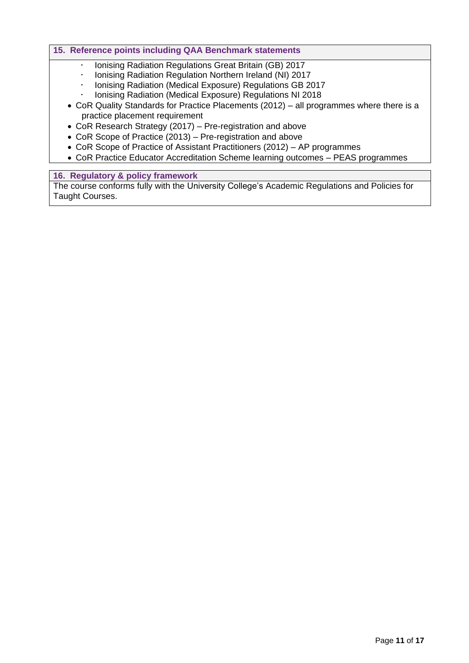#### **15. Reference points including QAA Benchmark statements**

- Ionising Radiation Regulations Great Britain (GB) 2017
- Ionising Radiation Regulation Northern Ireland (NI) 2017
- Ionising Radiation (Medical Exposure) Regulations GB 2017
- Ionising Radiation (Medical Exposure) Regulations NI 2018
- CoR Quality Standards for Practice Placements (2012) all programmes where there is a practice placement requirement
- CoR Research Strategy (2017) Pre-registration and above
- CoR Scope of Practice (2013) Pre-registration and above
- CoR Scope of Practice of Assistant Practitioners (2012) AP programmes
- CoR Practice Educator Accreditation Scheme learning outcomes PEAS programmes

#### <span id="page-10-0"></span>**16. Regulatory & policy framework**

The course conforms fully with the University College's Academic Regulations and Policies for Taught Courses.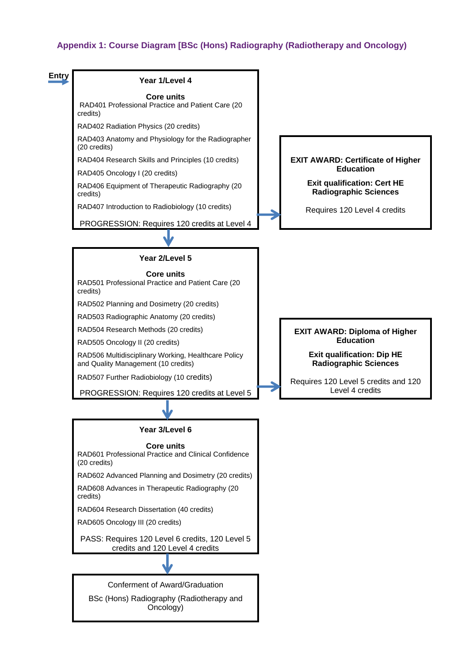## **Appendix 1: Course Diagram [BSc (Hons) Radiography (Radiotherapy and Oncology)**

<span id="page-11-0"></span>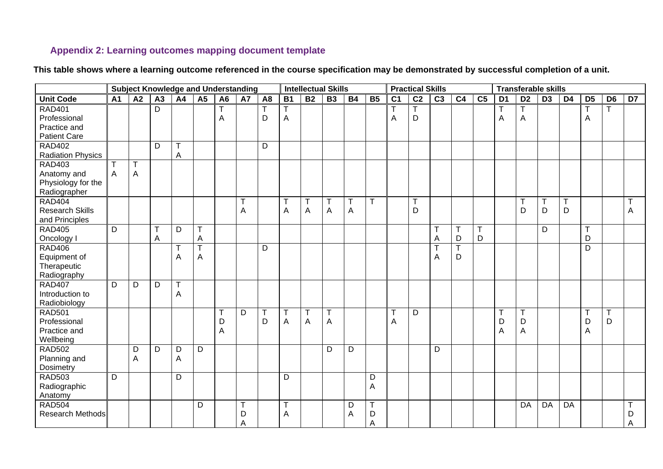# **Appendix 2: Learning outcomes mapping document template**

**This table shows where a learning outcome referenced in the course specification may be demonstrated by successful completion of a unit.**

<span id="page-12-0"></span>

|                          |           | <b>Subject Knowledge and Understanding</b> |                 |              |                         |                |             |    |              |                 | <b>Intellectual Skills</b> |           |                |                 | <b>Practical Skills</b> |                 |                 |                 |                | <b>Transferable skills</b> |                |                |                 |                |        |
|--------------------------|-----------|--------------------------------------------|-----------------|--------------|-------------------------|----------------|-------------|----|--------------|-----------------|----------------------------|-----------|----------------|-----------------|-------------------------|-----------------|-----------------|-----------------|----------------|----------------------------|----------------|----------------|-----------------|----------------|--------|
| <b>Unit Code</b>         | <b>A1</b> | $\overline{A2}$                            | $\overline{A3}$ | A4           | A5                      | A6             | <b>A7</b>   | A8 | <b>B1</b>    | $\overline{B2}$ | $\overline{B3}$            | <b>B4</b> | <b>B5</b>      | $\overline{C1}$ | $\overline{C2}$         | $\overline{C3}$ | $\overline{C4}$ | $\overline{C5}$ | D <sub>1</sub> | $\overline{D2}$            | D <sub>3</sub> | D <sub>4</sub> | $\overline{D5}$ | D <sub>6</sub> | D7     |
| <b>RAD401</b>            |           |                                            | D               |              |                         | Τ              |             | т  | Т            |                 |                            |           |                |                 |                         |                 |                 |                 | Τ              | Т                          |                |                | Τ               | Т              |        |
| Professional             |           |                                            |                 |              |                         | $\overline{A}$ |             | D  | A            |                 |                            |           |                | A               | D                       |                 |                 |                 | A              | A                          |                |                | A               |                |        |
| Practice and             |           |                                            |                 |              |                         |                |             |    |              |                 |                            |           |                |                 |                         |                 |                 |                 |                |                            |                |                |                 |                |        |
| <b>Patient Care</b>      |           |                                            |                 |              |                         |                |             |    |              |                 |                            |           |                |                 |                         |                 |                 |                 |                |                            |                |                |                 |                |        |
| <b>RAD402</b>            |           |                                            | D               | $\mathsf{T}$ |                         |                |             | D  |              |                 |                            |           |                |                 |                         |                 |                 |                 |                |                            |                |                |                 |                |        |
| <b>Radiation Physics</b> |           |                                            |                 | Α            |                         |                |             |    |              |                 |                            |           |                |                 |                         |                 |                 |                 |                |                            |                |                |                 |                |        |
| <b>RAD403</b>            | T         | $\mathsf T$                                |                 |              |                         |                |             |    |              |                 |                            |           |                |                 |                         |                 |                 |                 |                |                            |                |                |                 |                |        |
| Anatomy and              | A         | $\overline{A}$                             |                 |              |                         |                |             |    |              |                 |                            |           |                |                 |                         |                 |                 |                 |                |                            |                |                |                 |                |        |
| Physiology for the       |           |                                            |                 |              |                         |                |             |    |              |                 |                            |           |                |                 |                         |                 |                 |                 |                |                            |                |                |                 |                |        |
| Radiographer             |           |                                            |                 |              |                         |                |             |    |              |                 |                            |           |                |                 |                         |                 |                 |                 |                |                            |                |                |                 |                |        |
| <b>RAD404</b>            |           |                                            |                 |              |                         |                | $\top$      |    | $\mathsf{T}$ | $\mathsf T$     | т                          | T         | T              |                 | T                       |                 |                 |                 |                | $\mathsf T$                | $\mathsf T$    |                |                 |                |        |
| <b>Research Skills</b>   |           |                                            |                 |              |                         |                | A           |    | A            | A               | Α                          | A         |                |                 | D                       |                 |                 |                 |                | D                          | D              | D              |                 |                | A      |
| and Principles           |           |                                            |                 |              |                         |                |             |    |              |                 |                            |           |                |                 |                         |                 |                 |                 |                |                            |                |                |                 |                |        |
| <b>RAD405</b>            | D         |                                            | т               | D            | $\mathsf T$             |                |             |    |              |                 |                            |           |                |                 |                         | Т               | $\top$          | $\top$          |                |                            | D              |                | $\mathsf T$     |                |        |
| Oncology I               |           |                                            | $\overline{A}$  |              | $\overline{\mathsf{A}}$ |                |             |    |              |                 |                            |           |                |                 |                         | A               | D               | D               |                |                            |                |                | D               |                |        |
| <b>RAD406</b>            |           |                                            |                 |              | T                       |                |             | D  |              |                 |                            |           |                |                 |                         | т               |                 |                 |                |                            |                |                | $\overline{D}$  |                |        |
| Equipment of             |           |                                            |                 | Α            | A                       |                |             |    |              |                 |                            |           |                |                 |                         | A               | D               |                 |                |                            |                |                |                 |                |        |
| Therapeutic              |           |                                            |                 |              |                         |                |             |    |              |                 |                            |           |                |                 |                         |                 |                 |                 |                |                            |                |                |                 |                |        |
| Radiography              |           |                                            |                 |              |                         |                |             |    |              |                 |                            |           |                |                 |                         |                 |                 |                 |                |                            |                |                |                 |                |        |
| <b>RAD407</b>            | D         | D                                          | D               | $\top$       |                         |                |             |    |              |                 |                            |           |                |                 |                         |                 |                 |                 |                |                            |                |                |                 |                |        |
| Introduction to          |           |                                            |                 | Α            |                         |                |             |    |              |                 |                            |           |                |                 |                         |                 |                 |                 |                |                            |                |                |                 |                |        |
| Radiobiology             |           |                                            |                 |              |                         |                |             |    |              |                 |                            |           |                |                 |                         |                 |                 |                 |                |                            |                |                |                 |                |        |
| <b>RAD501</b>            |           |                                            |                 |              |                         | $\mathsf T$    | D           | T  | $\mathsf{T}$ | $\mathsf{T}$    | T                          |           |                |                 | D                       |                 |                 |                 | $\mathsf{T}$   | $\mathsf{T}$               |                |                | T               | $\mathsf T$    |        |
| Professional             |           |                                            |                 |              |                         | D              |             | D  | Α            | A               | A                          |           |                | A               |                         |                 |                 |                 | D              | D                          |                |                | D               | D              |        |
| Practice and             |           |                                            |                 |              |                         | $\overline{A}$ |             |    |              |                 |                            |           |                |                 |                         |                 |                 |                 | A              | A                          |                |                | A               |                |        |
| Wellbeing                |           |                                            |                 |              |                         |                |             |    |              |                 |                            |           |                |                 |                         |                 |                 |                 |                |                            |                |                |                 |                |        |
| <b>RAD502</b>            |           | D                                          | D               | D            | D                       |                |             |    |              |                 | D                          | D         |                |                 |                         | D               |                 |                 |                |                            |                |                |                 |                |        |
| Planning and             |           | A                                          |                 | Α            |                         |                |             |    |              |                 |                            |           |                |                 |                         |                 |                 |                 |                |                            |                |                |                 |                |        |
| Dosimetry                |           |                                            |                 |              |                         |                |             |    |              |                 |                            |           |                |                 |                         |                 |                 |                 |                |                            |                |                |                 |                |        |
| <b>RAD503</b>            | D         |                                            |                 | D            |                         |                |             |    | D            |                 |                            |           | D              |                 |                         |                 |                 |                 |                |                            |                |                |                 |                |        |
| Radiographic             |           |                                            |                 |              |                         |                |             |    |              |                 |                            |           | $\overline{A}$ |                 |                         |                 |                 |                 |                |                            |                |                |                 |                |        |
| Anatomy                  |           |                                            |                 |              |                         |                |             |    |              |                 |                            |           |                |                 |                         |                 |                 |                 |                |                            |                |                |                 |                |        |
| <b>RAD504</b>            |           |                                            |                 |              | D                       |                | $\mathsf T$ |    | $\mathsf T$  |                 |                            | D         | $\mathsf T$    |                 |                         |                 |                 |                 |                | DA                         | DA             | <b>DA</b>      |                 |                | $\top$ |
| <b>Research Methods</b>  |           |                                            |                 |              |                         |                | D           |    | A            |                 |                            | A         | D              |                 |                         |                 |                 |                 |                |                            |                |                |                 |                | D      |
|                          |           |                                            |                 |              |                         |                | A           |    |              |                 |                            |           | A              |                 |                         |                 |                 |                 |                |                            |                |                |                 |                | Α      |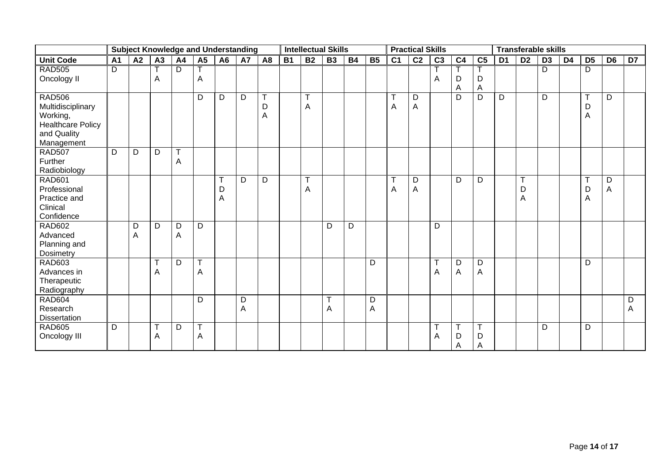|                                                                                                         |           |        |                 |           |           | <b>Subject Knowledge and Understanding</b> |        |                |           | <b>Intellectual Skills</b> |                   |           |           |                   | <b>Practical Skills</b> |                 |                |                               |                |                       | <b>Transferable skills</b> |                |                |                |        |
|---------------------------------------------------------------------------------------------------------|-----------|--------|-----------------|-----------|-----------|--------------------------------------------|--------|----------------|-----------|----------------------------|-------------------|-----------|-----------|-------------------|-------------------------|-----------------|----------------|-------------------------------|----------------|-----------------------|----------------------------|----------------|----------------|----------------|--------|
| <b>Unit Code</b>                                                                                        | <b>A1</b> | A2     | $\overline{A3}$ | <b>A4</b> | <b>A5</b> | A <sub>6</sub>                             | A7     | A <sub>8</sub> | <b>B1</b> | <b>B2</b>                  | $\overline{B3}$   | <b>B4</b> | <b>B5</b> | C <sub>1</sub>    | $\overline{C2}$         | $\overline{C3}$ | C <sub>4</sub> | C <sub>5</sub>                | D <sub>1</sub> | D <sub>2</sub>        | D <sub>3</sub>             | D <sub>4</sub> | D <sub>5</sub> | D <sub>6</sub> | D7     |
| <b>RAD505</b><br>Oncology II                                                                            | D         |        | A               | D         | A         |                                            |        |                |           |                            |                   |           |           |                   |                         | A               | D<br>A         | D<br>A                        |                |                       | D                          |                | D              |                |        |
| <b>RAD506</b><br>Multidisciplinary<br>Working,<br><b>Healthcare Policy</b><br>and Quality<br>Management |           |        |                 |           | D         | D                                          | D      | т<br>D<br>A    |           | $\mathsf T$<br>A           |                   |           |           | Т<br>Α            | D<br>A                  |                 | D              | D                             | D              |                       | D                          |                | D<br>Α         | D              |        |
| <b>RAD507</b><br>Further<br>Radiobiology                                                                | D         | D      | D               | A         |           |                                            |        |                |           |                            |                   |           |           |                   |                         |                 |                |                               |                |                       |                            |                |                |                |        |
| <b>RAD601</b><br>Professional<br>Practice and<br>Clinical<br>Confidence                                 |           |        |                 |           |           | $\mathbf 7$<br>D<br>A                      | D      | D              |           | $\mathsf T$<br>Α           |                   |           |           | $\mathsf{T}$<br>Α | D<br>A                  |                 | D              | D                             |                | $\mathsf T$<br>D<br>A |                            |                | D<br>Α         | D<br>A         |        |
| <b>RAD602</b><br>Advanced<br>Planning and<br>Dosimetry                                                  |           | D<br>A | D               | D<br>A    | D         |                                            |        |                |           |                            | D                 | D         |           |                   |                         | D               |                |                               |                |                       |                            |                |                |                |        |
| <b>RAD603</b><br>Advances in<br>Therapeutic<br>Radiography                                              |           |        | Α               | D         | T<br>A    |                                            |        |                |           |                            |                   |           | D         |                   |                         | Α               | D<br>A         | D<br>A                        |                |                       |                            |                | D              |                |        |
| <b>RAD604</b><br>Research<br>Dissertation                                                               |           |        |                 |           | D         |                                            | D<br>A |                |           |                            | $\mathbf{r}$<br>A |           | D<br>A    |                   |                         |                 |                |                               |                |                       |                            |                |                |                | D<br>A |
| <b>RAD605</b><br>Oncology III                                                                           | D         |        | Т<br>A          | D         | T<br>A    |                                            |        |                |           |                            |                   |           |           |                   |                         | ᠇<br>A          | т<br>D<br>A    | $\top$<br>D<br>$\overline{A}$ |                |                       | D                          |                | D              |                |        |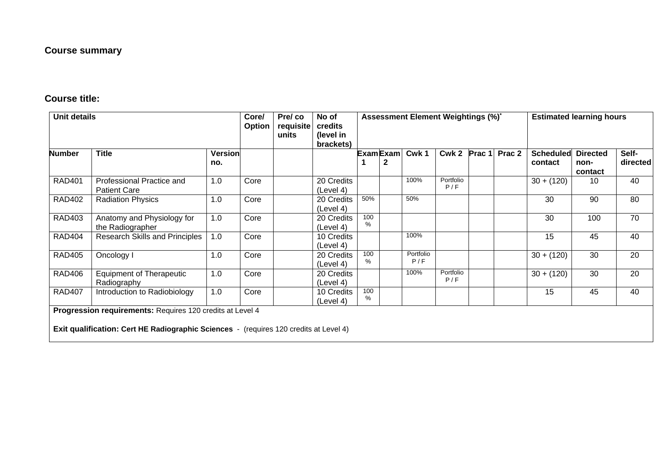# **Course summary**

# **Course title:**

| <b>Unit details</b> |                                                           |                       | Core/<br><b>Option</b> | Pre/co<br>requisite<br>units | No of<br>credits<br>(level in<br>brackets) | Assessment Element Weightings (%)* | <b>Estimated learning hours</b> |                  |                  |        |                             |                                    |                   |
|---------------------|-----------------------------------------------------------|-----------------------|------------------------|------------------------------|--------------------------------------------|------------------------------------|---------------------------------|------------------|------------------|--------|-----------------------------|------------------------------------|-------------------|
| <b>Number</b>       | <b>Title</b>                                              | <b>Version</b><br>no. |                        |                              |                                            |                                    | Exam Exam<br>$\mathbf{2}$       | Cwk 1            | Cwk 2 Prac 1     | Prac 2 | <b>Scheduled</b><br>contact | <b>Directed</b><br>non-<br>contact | Self-<br>directed |
| <b>RAD401</b>       | Professional Practice and<br><b>Patient Care</b>          | 1.0                   | Core                   |                              | 20 Credits<br>(Level 4)                    |                                    |                                 | 100%             | Portfolio<br>P/F |        | $30 + (120)$                | 10                                 | 40                |
| <b>RAD402</b>       | <b>Radiation Physics</b>                                  | 1.0                   | Core                   |                              | 20 Credits<br>(Level 4)                    | 50%                                |                                 | 50%              |                  |        | 30                          | 90                                 | 80                |
| <b>RAD403</b>       | Anatomy and Physiology for<br>the Radiographer            | 1.0                   | Core                   |                              | 20 Credits<br>(Level 4)                    | 100                                |                                 |                  |                  |        | 30                          | 100                                | 70                |
| <b>RAD404</b>       | <b>Research Skills and Principles</b>                     | 1.0                   | Core                   |                              | 10 Credits<br>(Level 4)                    |                                    |                                 | 100%             |                  |        | 15                          | 45                                 | 40                |
| <b>RAD405</b>       | Oncology I                                                | 1.0                   | Core                   |                              | 20 Credits<br>(Level 4)                    | 100<br>%                           |                                 | Portfolio<br>P/F |                  |        | $30 + (120)$                | 30                                 | 20                |
| <b>RAD406</b>       | Equipment of Therapeutic<br>Radiography                   | 1.0                   | Core                   |                              | 20 Credits<br>(Level 4)                    |                                    |                                 | 100%             | Portfolio<br>P/F |        | $30 + (120)$                | 30                                 | 20                |
| <b>RAD407</b>       | Introduction to Radiobiology                              | 1.0                   | Core                   |                              | 10 Credits<br>(Level 4)                    | 100<br>%                           |                                 |                  |                  |        | 15                          | 45                                 | 40                |
|                     | Progression requirements: Requires 120 credits at Level 4 |                       |                        |                              |                                            |                                    |                                 |                  |                  |        |                             |                                    |                   |

**Exit qualification: Cert HE Radiographic Sciences** - (requires 120 credits at Level 4)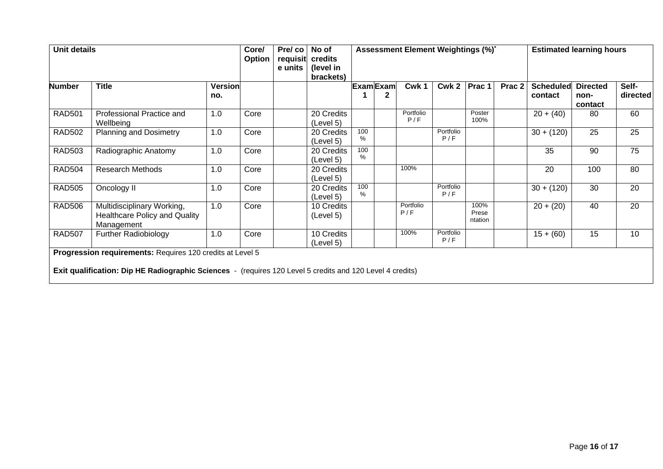| <b>Unit details</b> |                                                                                                                                                                               |                       | Core/<br><b>Option</b> | Pre/co<br>e units | No of<br>requisit credits<br>(level in<br>brackets) |                  | Assessment Element Weightings (%)* |                  |                          |                   | <b>Estimated learning hours</b> |                                    |                   |  |  |
|---------------------|-------------------------------------------------------------------------------------------------------------------------------------------------------------------------------|-----------------------|------------------------|-------------------|-----------------------------------------------------|------------------|------------------------------------|------------------|--------------------------|-------------------|---------------------------------|------------------------------------|-------------------|--|--|
| <b>Number</b>       | <b>Title</b>                                                                                                                                                                  | <b>Version</b><br>no. |                        |                   |                                                     | <b>Exam</b> Exam | Cwk 1                              | Cwk <sub>2</sub> | Prac 1                   | Prac <sub>2</sub> | <b>Scheduled</b><br>contact     | <b>Directed</b><br>non-<br>contact | Self-<br>directed |  |  |
| <b>RAD501</b>       | Professional Practice and<br>Wellbeing                                                                                                                                        | 1.0                   | Core                   |                   | 20 Credits<br>(Level 5)                             |                  | Portfolio<br>P/F                   |                  | Poster<br>100%           |                   | $20 + (40)$                     | 80                                 | 60                |  |  |
| <b>RAD502</b>       | <b>Planning and Dosimetry</b>                                                                                                                                                 | 1.0                   | Core                   |                   | 20 Credits<br>(Level 5)                             | 100<br>%         |                                    | Portfolio<br>P/F |                          |                   | $30 + (120)$                    | 25                                 | 25                |  |  |
| <b>RAD503</b>       | Radiographic Anatomy                                                                                                                                                          | 1.0                   | Core                   |                   | 20 Credits<br>(Level 5)                             | 100<br>$\%$      |                                    |                  |                          |                   | 35                              | 90                                 | 75                |  |  |
| <b>RAD504</b>       | <b>Research Methods</b>                                                                                                                                                       | 1.0                   | Core                   |                   | 20 Credits<br>(Level 5)                             |                  | 100%                               |                  |                          |                   | 20                              | 100                                | 80                |  |  |
| <b>RAD505</b>       | Oncology II                                                                                                                                                                   | 1.0                   | Core                   |                   | 20 Credits<br>(Level 5)                             | 100<br>%         |                                    | Portfolio<br>P/F |                          |                   | $30 + (120)$                    | 30                                 | 20                |  |  |
| <b>RAD506</b>       | Multidisciplinary Working,<br>Healthcare Policy and Quality<br>Management                                                                                                     | 1.0                   | Core                   |                   | 10 Credits<br>(Level 5)                             |                  | Portfolio<br>P/F                   |                  | 100%<br>Prese<br>ntation |                   | $20 + (20)$                     | 40                                 | 20                |  |  |
| <b>RAD507</b>       | <b>Further Radiobiology</b>                                                                                                                                                   | 1.0                   | Core                   |                   | 10 Credits<br>(Level 5)                             |                  | 100%                               | Portfolio<br>P/F |                          |                   | $15 + (60)$                     | 15                                 | 10                |  |  |
|                     | Progression requirements: Requires 120 credits at Level 5<br><b>Exit qualification: Dip HE Radiographic Sciences</b> - (requires 120 Level 5 credits and 120 Level 4 credits) |                       |                        |                   |                                                     |                  |                                    |                  |                          |                   |                                 |                                    |                   |  |  |